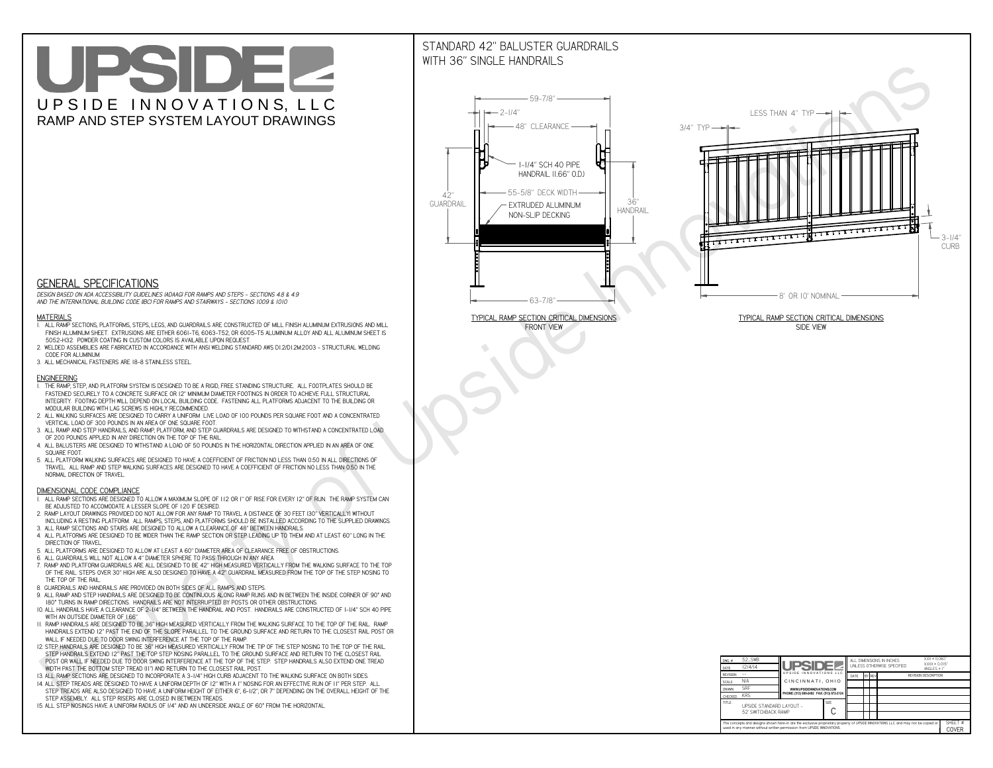# UPSIDEL UPSIDE INNOVATIONS, LLC RAMP AND STEP SYSTEM LAYOUT DRAWINGS

## STANDARD 42" BALUSTER GUARDRAILSWITH 36" SINGLE HANDRAILS

**FRONT VIEW**



![](_page_0_Figure_33.jpeg)

**GENERAL SPECIFICATIONS**

 *DESIGN BASED ON ADA ACCESSIBILITY GUIDELINES (ADAAG) FOR RAMPS AND STEPS - SECTIONS 4.8 & 4.9AND THE INTERNATIONAL BUILDING CODE (IBC) FOR RAMPS AND STAIRWAYS - SECTIONS 1009 & 1010*

#### **MATERIALS**

- **1. ALL RAMP SECTIONS, PLATFORMS, STEPS, LEGS, AND GUARDRAILS ARE CONSTRUCTED OF MILL FINISH ALUMINUM EXTRUSIONS AND MILL FINISH ALUMINUM SHEET. EXTRUSIONS ARE EITHER 6061-T6, 6063-T52, OR 6005-T5 ALUMINUM ALLOY AND ALL ALUMINUM SHEET IS 5052-H32. POWDER COATING IN CUSTOM COLORS IS AVAILABLE UPON REQUEST.**
- **2. WELDED ASSEMBLIES ARE FABRICATED IN ACCORDANCE WITH ANSI WELDING STANDARD AWS D1.2/D1.2M:2003 STRUCTURAL WELDING CODE FOR ALUMINUM.**
- **3. ALL MECHANICAL FASTENERS ARE 18-8 STAINLESS STEEL.**

#### **ENGINEERING**

- **1. THE RAMP, STEP, AND PLATFORM SYSTEM IS DESIGNED TO BE A RIGID, FREE STANDING STRUCTURE. ALL FOOTPLATES SHOULD BE FASTENED SECURELY TO A CONCRETE SURFACE OR 12" MINIMUM DIAMETER FOOTINGS IN ORDER TO ACHIEVE FULL STRUCTURAL INTEGRITY. FOOTING DEPTH WILL DEPEND ON LOCAL BUILDING CODE. FASTENING ALL PLATFORMS ADJACENT TO THE BUILDING OR MODULAR BUILDING WITH LAG SCREWS IS HIGHLY RECOMMENDED.**
- **2. ALL WALKING SURFACES ARE DESIGNED TO CARRY A UNIFORM LIVE LOAD OF 100 POUNDS PER SQUARE FOOT AND A CONCENTRATED VERTICAL LOAD OF 300 POUNDS IN AN AREA OF ONE SQUARE FOOT.**
- **3. ALL RAMP AND STEP HANDRAILS, AND RAMP, PLATFORM, AND STEP GUARDRAILS ARE DESIGNED TO WITHSTAND A CONCENTRATED LOAD OF 200 POUNDS APPLIED IN ANY DIRECTION ON THE TOP OF THE RAIL.**
- **4. ALL BALUSTERS ARE DESIGNED TO WITHSTAND A LOAD OF 50 POUNDS IN THE HORIZONTAL DIRECTION APPLIED IN AN AREA OF ONE SQUARE FOOT.**
- **5. ALL PLATFORM WALKING SURFACES ARE DESIGNED TO HAVE A COEFFICIENT OF FRICTION NO LESS THAN 0.50 IN ALL DIRECTIONS OF TRAVEL. ALL RAMP AND STEP WALKING SURFACES ARE DESIGNED TO HAVE A COEFFICIENT OF FRICTION NO LESS THAN 0.50 IN THE NORMAL DIRECTION OF TRAVEL.**

| $DWG.$ #<br>DATE                                                                                                                                                                                            | 52_SWB<br>12/4/14                               | <b>UPSIDE!</b>                            |             | ALL DIMENSIONS IN INCHES<br>UNLESS OTHERWISE SPECIFIED |  |        |                             | $XXX = 0.060"$<br>$XXX \pm 0.015$ "<br>ANGLES $\pm$ 1° |                  |
|-------------------------------------------------------------------------------------------------------------------------------------------------------------------------------------------------------------|-------------------------------------------------|-------------------------------------------|-------------|--------------------------------------------------------|--|--------|-----------------------------|--------------------------------------------------------|------------------|
| <b>REVISION</b>                                                                                                                                                                                             |                                                 | UPSIDE INNOVATIONS LLC                    |             | DATE                                                   |  | BY REV | <b>REVISION DESCRIPTION</b> |                                                        |                  |
| <b>SCALE</b>                                                                                                                                                                                                | N/A                                             | CINCINNATI, OHIO                          |             |                                                        |  |        |                             |                                                        |                  |
| <b>DRAWN</b>                                                                                                                                                                                                | <b>SRF</b>                                      | WWW.UPSIDEINNOVATIONS.COM                 |             |                                                        |  |        |                             |                                                        |                  |
| <b>CHECKED</b>                                                                                                                                                                                              | <b>KRS</b>                                      | PHONE: (513) 889-2492 FAX: (513) 672-2124 |             |                                                        |  |        |                             |                                                        |                  |
| <b>TITLE</b>                                                                                                                                                                                                | UPSIDE STANDARD LAYOUT -<br>52' SWITCHBACK RAMP |                                           | <b>SIZE</b> |                                                        |  |        |                             |                                                        |                  |
| The concepts and designs shown here-in are the exclusive proprietary property of UPSIDE INNOVATIONS LLC. and may not be copied or<br>used in any manner without written permission from UPSIDE INNOVATIONS. |                                                 |                                           |             |                                                        |  |        |                             |                                                        | SHFFT #<br>COVER |

### **DIMENSIONAL CODE COMPLIANCE**

- **1. ALL RAMP SECTIONS ARE DESIGNED TO ALLOW A MAXIMUM SLOPE OF 1:12 OR 1" OF RISE FOR EVERY 12" OF RUN. THE RAMP SYSTEM CAN BE ADJUSTED TO ACCOMODATE A LESSER SLOPE OF 1:20 IF DESIRED.**
- **2. RAMP LAYOUT DRAWINGS PROVIDED DO NOT ALLOW FOR ANY RAMP TO TRAVEL A DISTANCE OF 30 FEET (30" VERTICALLY) WITHOUT INCLUDING A RESTING PLATFORM. ALL RAMPS, STEPS, AND PLATFORMS SHOULD BE INSTALLED ACCORDING TO THE SUPPLIED DRAWINGS.**
- **3. ALL RAMP SECTIONS AND STAIRS ARE DESIGNED TO ALLOW A CLEARANCE OF 48" BETWEEN HANDRAILS.**
- **4. ALL PLATFORMS ARE DESIGNED TO BE WIDER THAN THE RAMP SECTION OR STEP LEADING UP TO THEM AND AT LEAST 60" LONG IN THE DIRECTION OF TRAVEL.**
- **5. ALL PLATFORMS ARE DESIGNED TO ALLOW AT LEAST A 60" DIAMETER AREA OF CLEARANCE FREE OF OBSTRUCTIONS.**
- **6. ALL GUARDRAILS WILL NOT ALLOW A 4" DIAMETER SPHERE TO PASS THROUGH IN ANY AREA.**
- **7. RAMP AND PLATFORM GUARDRAILS ARE ALL DESIGNED TO BE 42" HIGH MEASURED VERTICALLY FROM THE WALKING SURFACE TO THE TOP OF THE RAIL. STEPS OVER 30" HIGH ARE ALSO DESIGNED TO HAVE A 42" GUARDRAIL MEASURED FROM THE TOP OF THE STEP NOSING TO THE TOP OF THE RAIL.**
- **8. GUARDRAILS AND HANDRAILS ARE PROVIDED ON BOTH SIDES OF ALL RAMPS AND STEPS.**
- **9. ALL RAMP AND STEP HANDRAILS ARE DESIGNED TO BE CONTINUOUS ALONG RAMP RUNS AND IN BETWEEN THE INSIDE CORNER OF 90° AND 180° TURNS IN RAMP DIRECTIONS. HANDRAILS ARE NOT INTERRUPTED BY POSTS OR OTHER OBSTRUCTIONS.**
- **10. ALL HANDRAILS HAVE A CLEARANCE OF 2-1/4" BETWEEN THE HANDRAIL AND POST. HANDRAILS ARE CONSTRUCTED OF 1-1/4" SCH 40 PIPE WITH AN OUTSIDE DIAMETER OF 1.66"**
- **11. RAMP HANDRAILS ARE DESIGNED TO BE 36" HIGH MEASURED VERTICALLY FROM THE WALKING SURFACE TO THE TOP OF THE RAIL. RAMP HANDRAILS EXTEND 12" PAST THE END OF THE SLOPE PARALLEL TO THE GROUND SURFACE AND RETURN TO THE CLOSEST RAIL POST OR WALL IF NEEDED DUE TO DOOR SWING INTERFERENCE AT THE TOP OF THE RAMP.**
- **12. STEP HANDRAILS ARE DESIGNED TO BE 36" HIGH MEASURED VERTICALLY FROM THE TIP OF THE STEP NOSING TO THE TOP OF THE RAIL. STEP HANDRAILS EXTEND 12" PAST THE TOP STEP NOSING PARALLEL TO THE GROUND SURFACE AND RETURN TO THE CLOSEST RAIL POST OR WALL IF NEEDED DUE TO DOOR SWING INTERFERENCE AT THE TOP OF THE STEP. STEP HANDRAILS ALSO EXTEND ONE TREAD**
- **WIDTH PAST THE BOTTOM STEP TREAD (11") AND RETURN TO THE CLOSEST RAIL POST.**
- **13. ALL RAMP SECTIONS ARE DESIGNED TO INCORPORATE A 3-1/4" HIGH CURB ADJACENT TO THE WALKING SURFACE ON BOTH SIDES.**
- **14. ALL STEP TREADS ARE DESIGNED TO HAVE A UNIFORM DEPTH OF 12" WITH A 1" NOSING FOR AN EFFECTIVE RUN OF 11" PER STEP. ALL STEP TREADS ARE ALSO DESIGNED TO HAVE A UNIFORM HEIGHT OF EITHER 6", 6-1/2", OR 7" DEPENDING ON THE OVERALL HEIGHT OF THE STEP ASSEMBLY. ALL STEP RISERS ARE CLOSED IN BETWEEN TREADS.**
- **15. ALL STEP NOSINGS HAVE A UNIFORM RADIUS OF 1/4" AND AN UNDERSIDE ANGLE OF 60° FROM THE HORIZONTAL.**